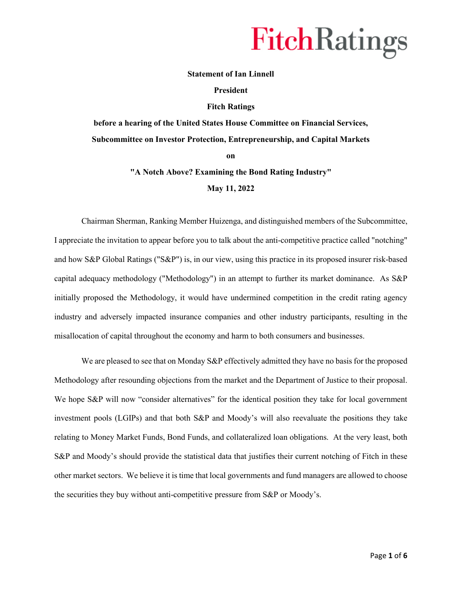### **Statement of Ian Linnell**

#### **President**

#### **Fitch Ratings**

**before a hearing of the United States House Committee on Financial Services, Subcommittee on Investor Protection, Entrepreneurship, and Capital Markets** 

**on** 

### **"A Notch Above? Examining the Bond Rating Industry"**

#### **May 11, 2022**

Chairman Sherman, Ranking Member Huizenga, and distinguished members of the Subcommittee, I appreciate the invitation to appear before you to talk about the anti-competitive practice called "notching" and how S&P Global Ratings ("S&P") is, in our view, using this practice in its proposed insurer risk-based capital adequacy methodology ("Methodology") in an attempt to further its market dominance. As S&P initially proposed the Methodology, it would have undermined competition in the credit rating agency industry and adversely impacted insurance companies and other industry participants, resulting in the misallocation of capital throughout the economy and harm to both consumers and businesses.

We are pleased to see that on Monday S&P effectively admitted they have no basis for the proposed Methodology after resounding objections from the market and the Department of Justice to their proposal. We hope S&P will now "consider alternatives" for the identical position they take for local government investment pools (LGIPs) and that both S&P and Moody's will also reevaluate the positions they take relating to Money Market Funds, Bond Funds, and collateralized loan obligations. At the very least, both S&P and Moody's should provide the statistical data that justifies their current notching of Fitch in these other market sectors. We believe it is time that local governments and fund managers are allowed to choose the securities they buy without anti-competitive pressure from S&P or Moody's.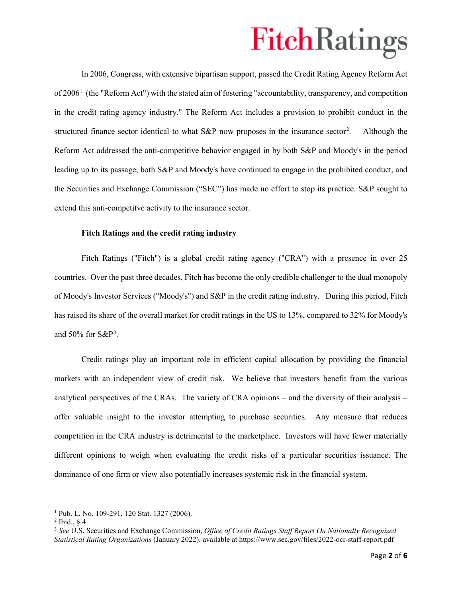In 2006, Congress, with extensive bipartisan support, passed the Credit Rating Agency Reform Act of  $2006<sup>1</sup>$  $2006<sup>1</sup>$  $2006<sup>1</sup>$  (the "Reform Act") with the stated aim of fostering "accountability, transparency, and competition in the credit rating agency industry." The Reform Act includes a provision to prohibit conduct in the structured finance sector identical to what  $S\&P$  now proposes in the insurance sector<sup>[2](#page-1-1)</sup>. . Although the Reform Act addressed the anti-competitive behavior engaged in by both S&P and Moody's in the period leading up to its passage, both S&P and Moody's have continued to engage in the prohibited conduct, and the Securities and Exchange Commission ("SEC") has made no effort to stop its practice. S&P sought to extend this anti-competitve activity to the insurance sector.

### **Fitch Ratings and the credit rating industry**

Fitch Ratings ("Fitch") is a global credit rating agency ("CRA") with a presence in over 25 countries. Over the past three decades, Fitch has become the only credible challenger to the dual monopoly of Moody's Investor Services ("Moody's") and S&P in the credit rating industry. During this period, Fitch has raised its share of the overall market for credit ratings in the US to 13%, compared to 32% for Moody's and  $50\%$  for  $S\&P^3$  $S\&P^3$ .

Credit ratings play an important role in efficient capital allocation by providing the financial markets with an independent view of credit risk. We believe that investors benefit from the various analytical perspectives of the CRAs. The variety of CRA opinions – and the diversity of their analysis – offer valuable insight to the investor attempting to purchase securities. Any measure that reduces competition in the CRA industry is detrimental to the marketplace. Investors will have fewer materially different opinions to weigh when evaluating the credit risks of a particular securities issuance. The dominance of one firm or view also potentially increases systemic risk in the financial system.

l

<span id="page-1-0"></span><sup>&</sup>lt;sup>1</sup> Pub. L. No. 109-291, 120 Stat. 1327 (2006).

<span id="page-1-1"></span> $<sup>2</sup>$  Ibid.,  $\& 4$ </sup>

<span id="page-1-2"></span><sup>3</sup> *See* U.S. Securities and Exchange Commission, *Office of Credit Ratings Staff Report On Nationally Recognized Statistical Rating Organizations* (January 2022), available at https://www.sec.gov/files/2022-ocr-staff-report.pdf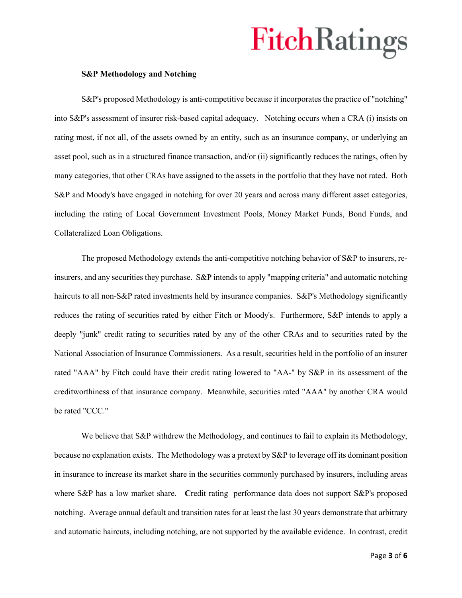### **S&P Methodology and Notching**

S&P's proposed Methodology is anti-competitive because it incorporates the practice of "notching" into S&P's assessment of insurer risk-based capital adequacy. Notching occurs when a CRA (i) insists on rating most, if not all, of the assets owned by an entity, such as an insurance company, or underlying an asset pool, such as in a structured finance transaction, and/or (ii) significantly reduces the ratings, often by many categories, that other CRAs have assigned to the assets in the portfolio that they have not rated. Both S&P and Moody's have engaged in notching for over 20 years and across many different asset categories, including the rating of Local Government Investment Pools, Money Market Funds, Bond Funds, and Collateralized Loan Obligations.

The proposed Methodology extends the anti-competitive notching behavior of S&P to insurers, reinsurers, and any securities they purchase. S&P intends to apply "mapping criteria" and automatic notching haircuts to all non-S&P rated investments held by insurance companies. S&P's Methodology significantly reduces the rating of securities rated by either Fitch or Moody's. Furthermore, S&P intends to apply a deeply "junk" credit rating to securities rated by any of the other CRAs and to securities rated by the National Association of Insurance Commissioners. As a result, securities held in the portfolio of an insurer rated "AAA" by Fitch could have their credit rating lowered to "AA-" by S&P in its assessment of the creditworthiness of that insurance company. Meanwhile, securities rated "AAA" by another CRA would be rated "CCC."

We believe that S&P withdrew the Methodology, and continues to fail to explain its Methodology, because no explanation exists. The Methodology was a pretext by S&P to leverage off its dominant position in insurance to increase its market share in the securities commonly purchased by insurers, including areas where S&P has a low market share. Credit rating performance data does not support S&P's proposed notching. Average annual default and transition rates for at least the last 30 years demonstrate that arbitrary and automatic haircuts, including notching, are not supported by the available evidence. In contrast, credit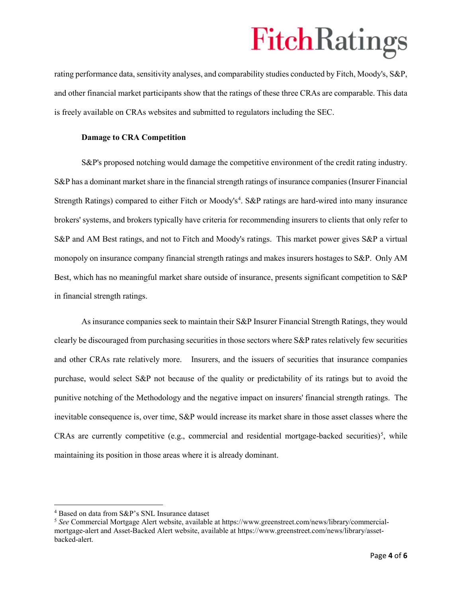rating performance data, sensitivity analyses, and comparability studies conducted by Fitch, Moody's, S&P, and other financial market participants show that the ratings of these three CRAs are comparable. This data is freely available on CRAs websites and submitted to regulators including the SEC.

### **Damage to CRA Competition**

S&P's proposed notching would damage the competitive environment of the credit rating industry. S&P has a dominant market share in the financial strength ratings of insurance companies(Insurer Financial Strength Ratings) compared to either Fitch or Moody's<sup>[4](#page-3-0)</sup>. S&P ratings are hard-wired into many insurance brokers' systems, and brokers typically have criteria for recommending insurers to clients that only refer to S&P and AM Best ratings, and not to Fitch and Moody's ratings. This market power gives S&P a virtual monopoly on insurance company financial strength ratings and makes insurers hostages to S&P. Only AM Best, which has no meaningful market share outside of insurance, presents significant competition to S&P in financial strength ratings.

As insurance companies seek to maintain their S&P Insurer Financial Strength Ratings, they would clearly be discouraged from purchasing securities in those sectors where S&P rates relatively few securities and other CRAs rate relatively more. Insurers, and the issuers of securities that insurance companies purchase, would select S&P not because of the quality or predictability of its ratings but to avoid the punitive notching of the Methodology and the negative impact on insurers' financial strength ratings. The inevitable consequence is, over time, S&P would increase its market share in those asset classes where the CRAs are currently competitive (e.g., commercial and residential mortgage-backed securities)<sup>[5](#page-3-1)</sup>, while maintaining its position in those areas where it is already dominant.

l

<span id="page-3-0"></span><sup>4</sup> Based on data from S&P's SNL Insurance dataset

<span id="page-3-1"></span><sup>5</sup> *See* Commercial Mortgage Alert website, available at https://www.greenstreet.com/news/library/commercialmortgage-alert and Asset-Backed Alert website, available at https://www.greenstreet.com/news/library/assetbacked-alert.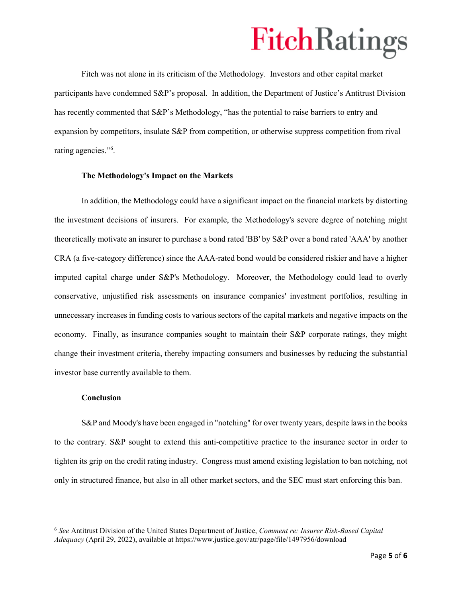Fitch was not alone in its criticism of the Methodology. Investors and other capital market participants have condemned S&P's proposal. In addition, the Department of Justice's Antitrust Division has recently commented that S&P's Methodology, "has the potential to raise barriers to entry and expansion by competitors, insulate S&P from competition, or otherwise suppress competition from rival rating agencies.["6](#page-4-0) .

#### **The Methodology's Impact on the Markets**

In addition, the Methodology could have a significant impact on the financial markets by distorting the investment decisions of insurers. For example, the Methodology's severe degree of notching might theoretically motivate an insurer to purchase a bond rated 'BB' by S&P over a bond rated 'AAA' by another CRA (a five-category difference) since the AAA-rated bond would be considered riskier and have a higher imputed capital charge under S&P's Methodology. Moreover, the Methodology could lead to overly conservative, unjustified risk assessments on insurance companies' investment portfolios, resulting in unnecessary increases in funding costs to various sectors of the capital markets and negative impacts on the economy. Finally, as insurance companies sought to maintain their S&P corporate ratings, they might change their investment criteria, thereby impacting consumers and businesses by reducing the substantial investor base currently available to them.

#### **Conclusion**

l

S&P and Moody's have been engaged in "notching" for over twenty years, despite laws in the books to the contrary. S&P sought to extend this anti-competitive practice to the insurance sector in order to tighten its grip on the credit rating industry. Congress must amend existing legislation to ban notching, not only in structured finance, but also in all other market sectors, and the SEC must start enforcing this ban.

<span id="page-4-0"></span><sup>6</sup> *See* Antitrust Division of the United States Department of Justice, *Comment re: Insurer Risk-Based Capital Adequacy* (April 29, 2022), available at https://www.justice.gov/atr/page/file/1497956/download